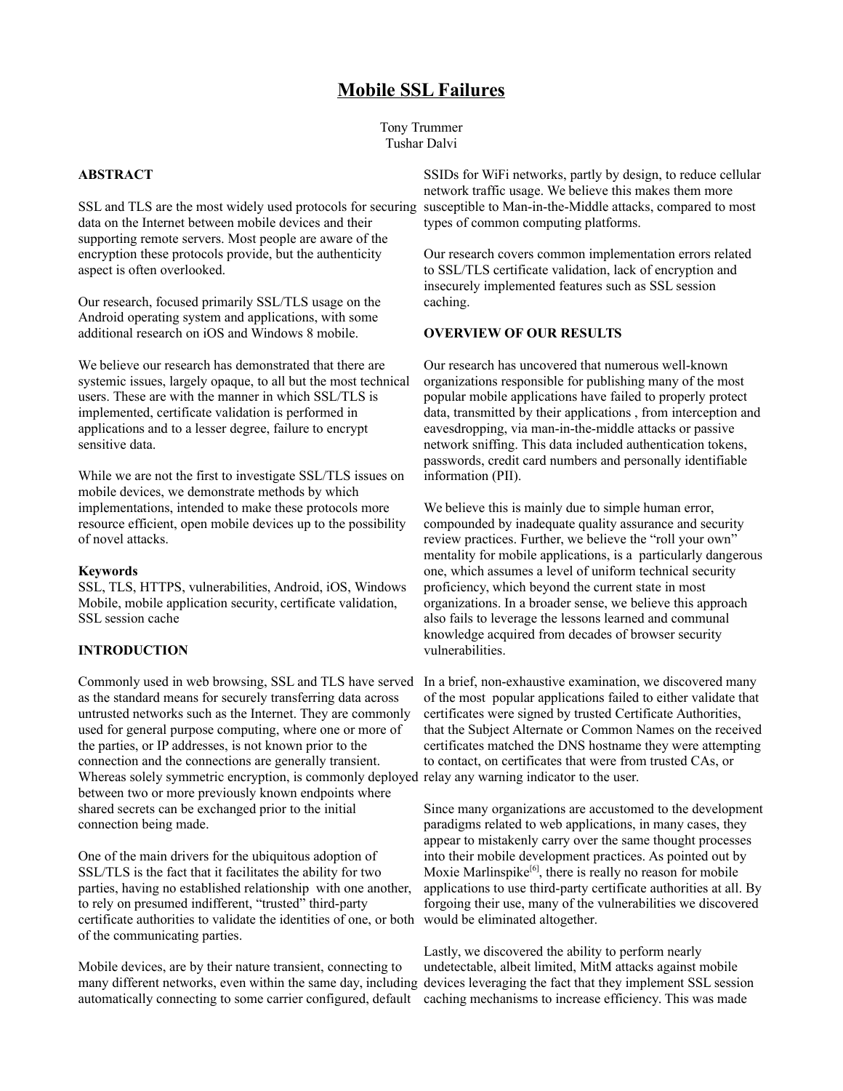# **Mobile SSL Failures**

Tony Trummer Tushar Dalvi

# **ABSTRACT**

SSL and TLS are the most widely used protocols for securing data on the Internet between mobile devices and their supporting remote servers. Most people are aware of the encryption these protocols provide, but the authenticity aspect is often overlooked.

Our research, focused primarily SSL/TLS usage on the Android operating system and applications, with some additional research on iOS and Windows 8 mobile.

We believe our research has demonstrated that there are systemic issues, largely opaque, to all but the most technical users. These are with the manner in which SSL/TLS is implemented, certificate validation is performed in applications and to a lesser degree, failure to encrypt sensitive data.

While we are not the first to investigate SSL/TLS issues on mobile devices, we demonstrate methods by which implementations, intended to make these protocols more resource efficient, open mobile devices up to the possibility of novel attacks.

#### **Keywords**

SSL, TLS, HTTPS, vulnerabilities, Android, iOS, Windows Mobile, mobile application security, certificate validation, SSL session cache

#### **INTRODUCTION**

as the standard means for securely transferring data across untrusted networks such as the Internet. They are commonly used for general purpose computing, where one or more of the parties, or IP addresses, is not known prior to the connection and the connections are generally transient. Whereas solely symmetric encryption, is commonly deployed relay any warning indicator to the user. between two or more previously known endpoints where shared secrets can be exchanged prior to the initial connection being made.

One of the main drivers for the ubiquitous adoption of SSL/TLS is the fact that it facilitates the ability for two parties, having no established relationship with one another, to rely on presumed indifferent, "trusted" third-party certificate authorities to validate the identities of one, or both would be eliminated altogether. of the communicating parties.

Mobile devices, are by their nature transient, connecting to many different networks, even within the same day, including devices leveraging the fact that they implement SSL session automatically connecting to some carrier configured, default caching mechanisms to increase efficiency. This was made

SSIDs for WiFi networks, partly by design, to reduce cellular network traffic usage. We believe this makes them more susceptible to Man-in-the-Middle attacks, compared to most types of common computing platforms.

Our research covers common implementation errors related to SSL/TLS certificate validation, lack of encryption and insecurely implemented features such as SSL session caching.

## **OVERVIEW OF OUR RESULTS**

Our research has uncovered that numerous well-known organizations responsible for publishing many of the most popular mobile applications have failed to properly protect data, transmitted by their applications , from interception and eavesdropping, via man-in-the-middle attacks or passive network sniffing. This data included authentication tokens, passwords, credit card numbers and personally identifiable information (PII).

We believe this is mainly due to simple human error, compounded by inadequate quality assurance and security review practices. Further, we believe the "roll your own" mentality for mobile applications, is a particularly dangerous one, which assumes a level of uniform technical security proficiency, which beyond the current state in most organizations. In a broader sense, we believe this approach also fails to leverage the lessons learned and communal knowledge acquired from decades of browser security vulnerabilities.

Commonly used in web browsing, SSL and TLS have served In a brief, non-exhaustive examination, we discovered many of the most popular applications failed to either validate that certificates were signed by trusted Certificate Authorities, that the Subject Alternate or Common Names on the received certificates matched the DNS hostname they were attempting to contact, on certificates that were from trusted CAs, or

> Since many organizations are accustomed to the development paradigms related to web applications, in many cases, they appear to mistakenly carry over the same thought processes into their mobile development practices. As pointed out by Moxie Marlinspike<sup>[6]</sup>, there is really no reason for mobile applications to use third-party certificate authorities at all. By forgoing their use, many of the vulnerabilities we discovered

Lastly, we discovered the ability to perform nearly undetectable, albeit limited, MitM attacks against mobile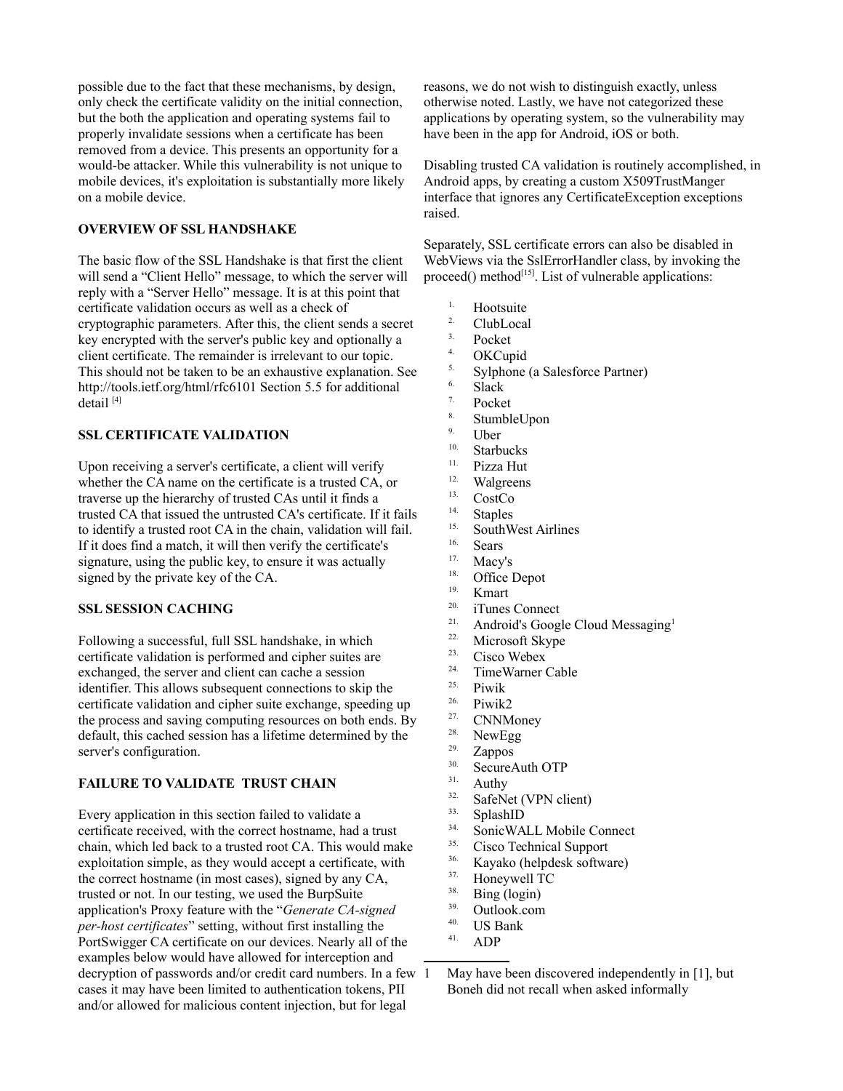possible due to the fact that these mechanisms, by design, only check the certificate validity on the initial connection, but the both the application and operating systems fail to properly invalidate sessions when a certificate has been removed from a device. This presents an opportunity for a would-be attacker. While this vulnerability is not unique to mobile devices, it's exploitation is substantially more likely on a mobile device.

# **OVERVIEW OF SSL HANDSHAKE**

The basic flow of the SSL Handshake is that first the client will send a "Client Hello" message, to which the server will reply with a "Server Hello" message. It is at this point that certificate validation occurs as well as a check of cryptographic parameters. After this, the client sends a secret key encrypted with the server's public key and optionally a client certificate. The remainder is irrelevant to our topic. This should not be taken to be an exhaustive explanation. See http://tools.ietf.org/html/rfc6101 Section 5.5 for additional detail [4]

### **SSL CERTIFICATE VALIDATION**

Upon receiving a server's certificate, a client will verify whether the CA name on the certificate is a trusted CA, or traverse up the hierarchy of trusted CAs until it finds a trusted CA that issued the untrusted CA's certificate. If it fails to identify a trusted root CA in the chain, validation will fail. If it does find a match, it will then verify the certificate's signature, using the public key, to ensure it was actually signed by the private key of the CA.

## **SSL SESSION CACHING**

Following a successful, full SSL handshake, in which certificate validation is performed and cipher suites are exchanged, the server and client can cache a session identifier. This allows subsequent connections to skip the certificate validation and cipher suite exchange, speeding up the process and saving computing resources on both ends. By default, this cached session has a lifetime determined by the server's configuration.

## **FAILURE TO VALIDATE TRUST CHAIN**

Every application in this section failed to validate a certificate received, with the correct hostname, had a trust chain, which led back to a trusted root CA. This would make exploitation simple, as they would accept a certificate, with the correct hostname (in most cases), signed by any CA, trusted or not. In our testing, we used the BurpSuite application's Proxy feature with the "*Generate CA-signed per-host certificates*" setting, without first installing the PortSwigger CA certificate on our devices. Nearly all of the examples below would have allowed for interception and decryption of passwords and/or credit card numbers. In a few cases it may have been limited to authentication tokens, PII and/or allowed for malicious content injection, but for legal

reasons, we do not wish to distinguish exactly, unless otherwise noted. Lastly, we have not categorized these applications by operating system, so the vulnerability may have been in the app for Android, iOS or both.

Disabling trusted CA validation is routinely accomplished, in Android apps, by creating a custom X509TrustManger interface that ignores any CertificateException exceptions raised.

Separately, SSL certificate errors can also be disabled in WebViews via the SslErrorHandler class, by invoking the proceed() method<sup>[15]</sup>. List of vulnerable applications:

- <sup>1.</sup> Hootsuite
- <sup>2.</sup> ClubLocal
- $^{3.}$  Pocket
- 
- $^{4}$  OKCupid  $5.$  Sylphone (a Salesforce Partner)
- $\frac{6}{7}$  Slack
- 
- $\frac{7.}{8.}$  Pocket  $\frac{8}{9}$  StumbleUpon
- $\frac{9}{10}$  Uber
- 
- $10.$  Starbucks
- <sup>11.</sup> Pizza Hut <sup>12.</sup> Walgreens
- 
- $13.$  CostCo
- $14.$  Staples <sup>15.</sup> SouthWest Airlines
- 
- $\frac{16.}{17.}$  Sears
- <sup>17.</sup> Macy's  $\frac{18.}{\text{76}}$ <sup>18.</sup> Office Depot
- 
- $\frac{19.}{20.}$  Kmart
- <sup>20.</sup> iTunes Connect<br><sup>21.</sup> Android's Googl <sup>2[1](#page-1-0).</sup> Android's Google Cloud Messaging<sup>1</sup>
- <sup>22.</sup> Microsoft Skype
- <sup>23.</sup> Cisco Webex
- <sup>24.</sup> TimeWarner Cable
- <sup>25.</sup> Piwik
- $26.$  Piwik2
- $\frac{27}{28}$  CNNMoney
- 
- $\frac{28.}{29.}$  NewEgg
- $\frac{29.}{30.}$  Zappos  $30.$  SecureAuth OTP
- 
- <sup>31.</sup> Authy<br><sup>32.</sup> SafeN<sub>4</sub>  $32.$  SafeNet (VPN client)
- $\frac{33}{34}$  SplashID
- $34.$  Sonic WALL Mobile Connect<br> $35.$  Cisco Technical Support
- $35.$  Cisco Technical Support
- $36.$  Kayako (helpdesk software)
- $^{37}$ . Honeywell TC
- 
- $rac{38}{39}$  Bing (login)  $39.$  Outlook.com
- 
- <sup>40.</sup> US Bank<br><sup>41.</sup> ADD ADP

<span id="page-1-0"></span>May have been discovered independently in [1], but Boneh did not recall when asked informally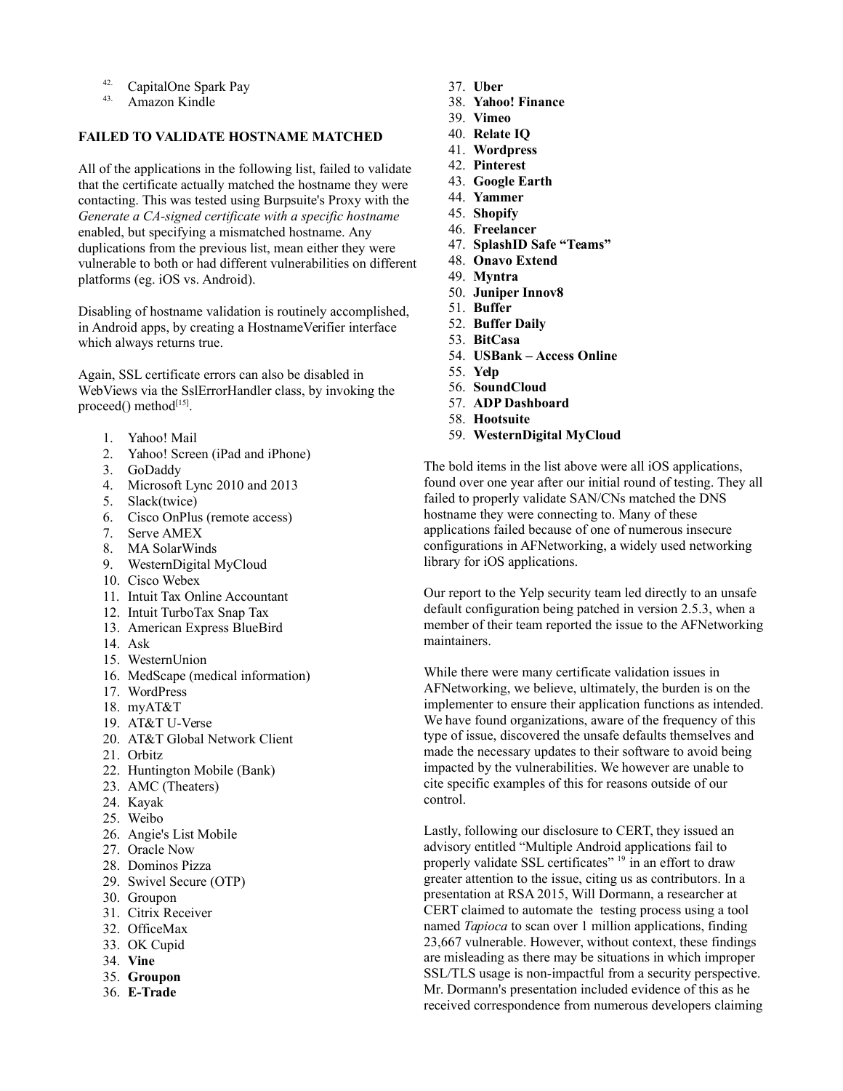- <sup>42.</sup> CapitalOne Spark Pay<br> $\frac{43}{43}$ . Amazon Kindle
- Amazon Kindle

# **FAILED TO VALIDATE HOSTNAME MATCHED**

All of the applications in the following list, failed to validate that the certificate actually matched the hostname they were contacting. This was tested using Burpsuite's Proxy with the *Generate a CA-signed certificate with a specific hostname*  enabled, but specifying a mismatched hostname. Any duplications from the previous list, mean either they were vulnerable to both or had different vulnerabilities on different platforms (eg. iOS vs. Android).

Disabling of hostname validation is routinely accomplished, in Android apps, by creating a HostnameVerifier interface which always returns true.

Again, SSL certificate errors can also be disabled in WebViews via the SslErrorHandler class, by invoking the proceed() method<sup>[15]</sup>.

- 1. Yahoo! Mail
- 2. Yahoo! Screen (iPad and iPhone)
- 3. GoDaddy
- 4. Microsoft Lync 2010 and 2013
- 5. Slack(twice)
- 6. Cisco OnPlus (remote access)
- 7. Serve AMEX
- 8. MA SolarWinds
- 9. WesternDigital MyCloud
- 10. Cisco Webex
- 11. Intuit Tax Online Accountant
- 12. Intuit TurboTax Snap Tax
- 13. American Express BlueBird
- 14. Ask
- 15. WesternUnion
- 16. MedScape (medical information)
- 17. WordPress
- 18. myAT&T
- 19. AT&T U-Verse
- 20. AT&T Global Network Client
- 21. Orbitz
- 22. Huntington Mobile (Bank)
- 23. AMC (Theaters)
- 24. Kayak
- 25. Weibo
- 26. Angie's List Mobile
- 27. Oracle Now
- 28. Dominos Pizza
- 29. Swivel Secure (OTP)
- 30. Groupon
- 31. Citrix Receiver
- 32. OfficeMax
- 33. OK Cupid
- 34. **Vine**
- 35. **Groupon**
- 36. **E-Trade**
- 37. **Uber**
- 38. **Yahoo! Finance**
- 39. **Vimeo**
- 40. **Relate IQ**
- 41. **Wordpress**
- 42. **Pinterest**
- 43. **Google Earth**
- 44. **Yammer**
- 45. **Shopify**
- 46. **Freelancer**
- 47. **SplashID Safe "Teams"**
- 48. **Onavo Extend**
- 49. **Myntra**
- 50. **Juniper Innov8**
- 51. **Buffer**
- 52. **Buffer Daily**
- 53. **BitCasa**
- 54. **USBank Access Online**
- 55. **Yelp**
- 56. **SoundCloud**
- 57. **ADP Dashboard**
- 58. **Hootsuite**
- 59. **WesternDigital MyCloud**

The bold items in the list above were all iOS applications, found over one year after our initial round of testing. They all failed to properly validate SAN/CNs matched the DNS hostname they were connecting to. Many of these applications failed because of one of numerous insecure configurations in AFNetworking, a widely used networking library for iOS applications.

Our report to the Yelp security team led directly to an unsafe default configuration being patched in version 2.5.3, when a member of their team reported the issue to the AFNetworking maintainers.

While there were many certificate validation issues in AFNetworking, we believe, ultimately, the burden is on the implementer to ensure their application functions as intended. We have found organizations, aware of the frequency of this type of issue, discovered the unsafe defaults themselves and made the necessary updates to their software to avoid being impacted by the vulnerabilities. We however are unable to cite specific examples of this for reasons outside of our control.

Lastly, following our disclosure to CERT, they issued an advisory entitled "Multiple Android applications fail to properly validate SSL certificates"  $19$  in an effort to draw greater attention to the issue, citing us as contributors. In a presentation at RSA 2015, Will Dormann, a researcher at CERT claimed to automate the testing process using a tool named *Tapioca* to scan over 1 million applications, finding 23,667 vulnerable. However, without context, these findings are misleading as there may be situations in which improper SSL/TLS usage is non-impactful from a security perspective. Mr. Dormann's presentation included evidence of this as he received correspondence from numerous developers claiming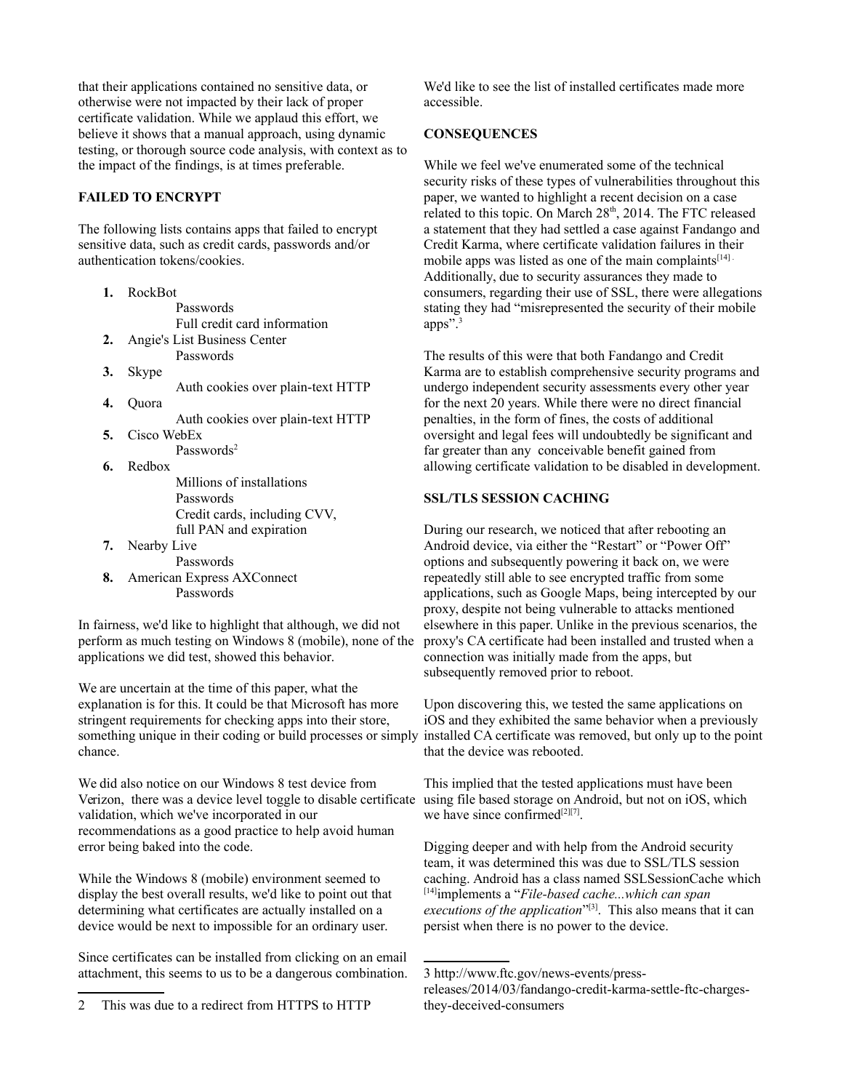that their applications contained no sensitive data, or otherwise were not impacted by their lack of proper certificate validation. While we applaud this effort, we believe it shows that a manual approach, using dynamic testing, or thorough source code analysis, with context as to the impact of the findings, is at times preferable.

# **FAILED TO ENCRYPT**

The following lists contains apps that failed to encrypt sensitive data, such as credit cards, passwords and/or authentication tokens/cookies.

- **1.** RockBot Passwords Full credit card information **2.** Angie's List Business Center Passwords **3.** Skype Auth cookies over plain-text HTTP **4.** Quora Auth cookies over plain-text HTTP **5.** Cisco WebEx Passwords<sup>[2](#page-3-0)</sup> **6.** Redbox Millions of installations Passwords Credit cards, including CVV, full PAN and expiration **7.** Nearby Live Passwords
- **8.** American Express AXConnect Passwords

In fairness, we'd like to highlight that although, we did not perform as much testing on Windows 8 (mobile), none of the applications we did test, showed this behavior.

We are uncertain at the time of this paper, what the explanation is for this. It could be that Microsoft has more stringent requirements for checking apps into their store, something unique in their coding or build processes or simply installed CA certificate was removed, but only up to the point chance.

We did also notice on our Windows 8 test device from Verizon, there was a device level toggle to disable certificate validation, which we've incorporated in our recommendations as a good practice to help avoid human error being baked into the code.

While the Windows 8 (mobile) environment seemed to display the best overall results, we'd like to point out that determining what certificates are actually installed on a device would be next to impossible for an ordinary user.

Since certificates can be installed from clicking on an email attachment, this seems to us to be a dangerous combination. We'd like to see the list of installed certificates made more accessible.

## **CONSEQUENCES**

While we feel we've enumerated some of the technical security risks of these types of vulnerabilities throughout this paper, we wanted to highlight a recent decision on a case related to this topic. On March 28<sup>th</sup>, 2014. The FTC released a statement that they had settled a case against Fandango and Credit Karma, where certificate validation failures in their mobile apps was listed as one of the main complaints<sup>[14]</sup> Additionally, due to security assurances they made to consumers, regarding their use of SSL, there were allegations stating they had "misrepresented the security of their mobile apps".<sup>[3](#page-3-1)</sup>

The results of this were that both Fandango and Credit Karma are to establish comprehensive security programs and undergo independent security assessments every other year for the next 20 years. While there were no direct financial penalties, in the form of fines, the costs of additional oversight and legal fees will undoubtedly be significant and far greater than any conceivable benefit gained from allowing certificate validation to be disabled in development.

## **SSL/TLS SESSION CACHING**

During our research, we noticed that after rebooting an Android device, via either the "Restart" or "Power Off" options and subsequently powering it back on, we were repeatedly still able to see encrypted traffic from some applications, such as Google Maps, being intercepted by our proxy, despite not being vulnerable to attacks mentioned elsewhere in this paper. Unlike in the previous scenarios, the proxy's CA certificate had been installed and trusted when a connection was initially made from the apps, but subsequently removed prior to reboot.

Upon discovering this, we tested the same applications on iOS and they exhibited the same behavior when a previously that the device was rebooted.

This implied that the tested applications must have been using file based storage on Android, but not on iOS, which we have since confirmed $^{[2][7]}$ .

Digging deeper and with help from the Android security team, it was determined this was due to SSL/TLS session caching. Android has a class named SSLSessionCache which [14]implements a "*File-based cache...which can span*  executions of the application<sup>"[3]</sup>. This also means that it can persist when there is no power to the device.

<span id="page-3-0"></span><sup>2</sup> This was due to a redirect from HTTPS to HTTP

<span id="page-3-1"></span><sup>3</sup> http://www.ftc.gov/news-events/pressreleases/2014/03/fandango-credit-karma-settle-ftc-chargesthey-deceived-consumers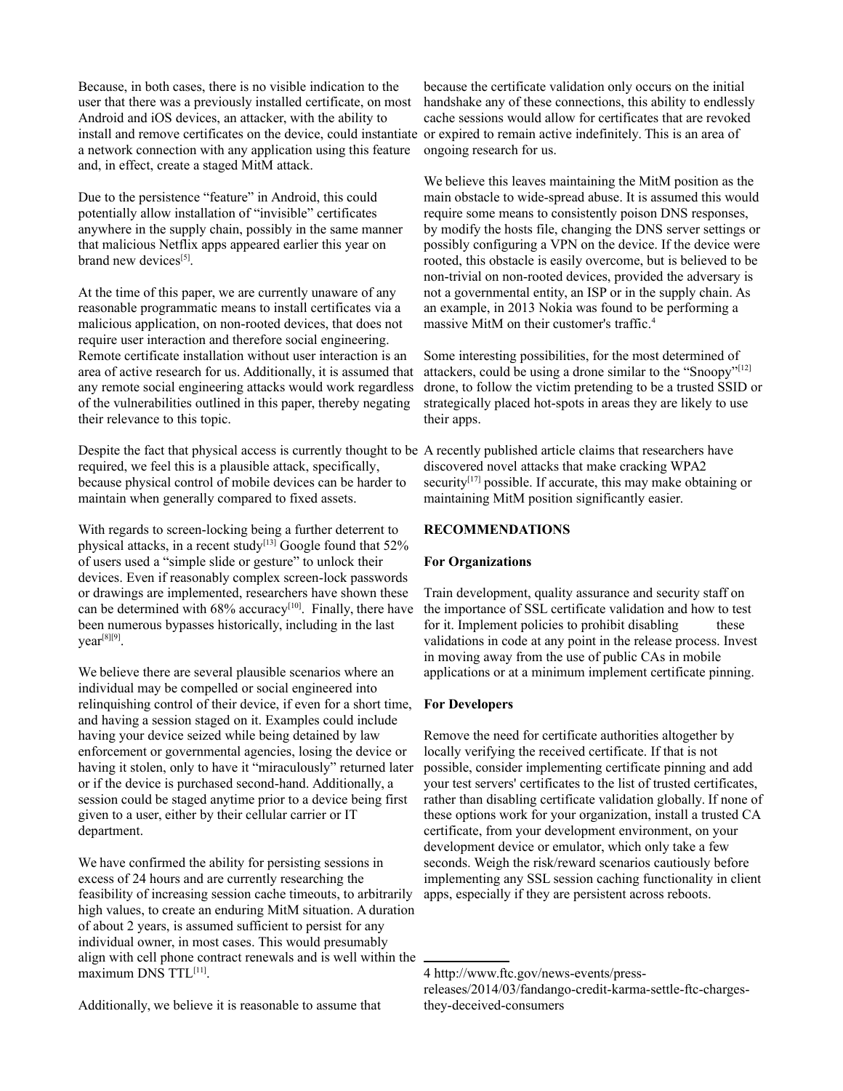Because, in both cases, there is no visible indication to the user that there was a previously installed certificate, on most Android and iOS devices, an attacker, with the ability to install and remove certificates on the device, could instantiate a network connection with any application using this feature and, in effect, create a staged MitM attack.

Due to the persistence "feature" in Android, this could potentially allow installation of "invisible" certificates anywhere in the supply chain, possibly in the same manner that malicious Netflix apps appeared earlier this year on brand new devices<sup>[5]</sup>.

At the time of this paper, we are currently unaware of any reasonable programmatic means to install certificates via a malicious application, on non-rooted devices, that does not require user interaction and therefore social engineering. Remote certificate installation without user interaction is an area of active research for us. Additionally, it is assumed that any remote social engineering attacks would work regardless of the vulnerabilities outlined in this paper, thereby negating their relevance to this topic.

Despite the fact that physical access is currently thought to be A recently published article claims that researchers have required, we feel this is a plausible attack, specifically, because physical control of mobile devices can be harder to maintain when generally compared to fixed assets.

With regards to screen-locking being a further deterrent to physical attacks, in a recent study<sup>[13]</sup> Google found that 52% of users used a "simple slide or gesture" to unlock their devices. Even if reasonably complex screen-lock passwords or drawings are implemented, researchers have shown these can be determined with  $68\%$  accuracy<sup>[10]</sup>. Finally, there have been numerous bypasses historically, including in the last year<sup>[8][9]</sup>.

We believe there are several plausible scenarios where an individual may be compelled or social engineered into relinquishing control of their device, if even for a short time, and having a session staged on it. Examples could include having your device seized while being detained by law enforcement or governmental agencies, losing the device or having it stolen, only to have it "miraculously" returned later or if the device is purchased second-hand. Additionally, a session could be staged anytime prior to a device being first given to a user, either by their cellular carrier or IT department.

We have confirmed the ability for persisting sessions in excess of 24 hours and are currently researching the feasibility of increasing session cache timeouts, to arbitrarily high values, to create an enduring MitM situation. A duration of about 2 years, is assumed sufficient to persist for any individual owner, in most cases. This would presumably align with cell phone contract renewals and is well within the maximum DNS TTL<sup>[11]</sup>.

because the certificate validation only occurs on the initial handshake any of these connections, this ability to endlessly cache sessions would allow for certificates that are revoked or expired to remain active indefinitely. This is an area of ongoing research for us.

We believe this leaves maintaining the MitM position as the main obstacle to wide-spread abuse. It is assumed this would require some means to consistently poison DNS responses, by modify the hosts file, changing the DNS server settings or possibly configuring a VPN on the device. If the device were rooted, this obstacle is easily overcome, but is believed to be non-trivial on non-rooted devices, provided the adversary is not a governmental entity, an ISP or in the supply chain. As an example, in 2013 Nokia was found to be performing a massive MitM on their customer's traffic.<sup>[4](#page-4-0)</sup>

Some interesting possibilities, for the most determined of attackers, could be using a drone similar to the "Snoopy"[12] drone, to follow the victim pretending to be a trusted SSID or strategically placed hot-spots in areas they are likely to use their apps.

discovered novel attacks that make cracking WPA2 security<sup>[17]</sup> possible. If accurate, this may make obtaining or maintaining MitM position significantly easier.

## **RECOMMENDATIONS**

## **For Organizations**

Train development, quality assurance and security staff on the importance of SSL certificate validation and how to test for it. Implement policies to prohibit disabling these validations in code at any point in the release process. Invest in moving away from the use of public CAs in mobile applications or at a minimum implement certificate pinning.

## **For Developers**

Remove the need for certificate authorities altogether by locally verifying the received certificate. If that is not possible, consider implementing certificate pinning and add your test servers' certificates to the list of trusted certificates, rather than disabling certificate validation globally. If none of these options work for your organization, install a trusted CA certificate, from your development environment, on your development device or emulator, which only take a few seconds. Weigh the risk/reward scenarios cautiously before implementing any SSL session caching functionality in client apps, especially if they are persistent across reboots.

<span id="page-4-0"></span>4 http://www.ftc.gov/news-events/pressreleases/2014/03/fandango-credit-karma-settle-ftc-chargesthey-deceived-consumers

Additionally, we believe it is reasonable to assume that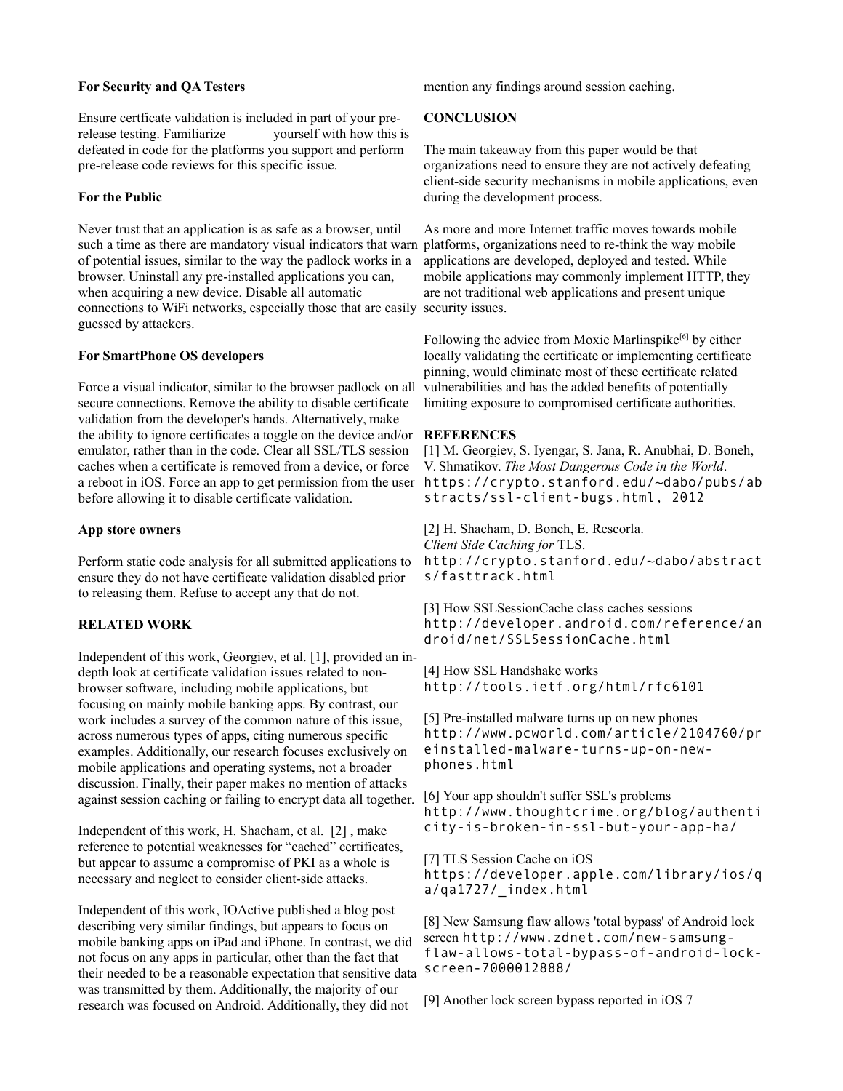#### **For Security and QA Testers**

Ensure certficate validation is included in part of your prerelease testing. Familiarize yourself with how this is defeated in code for the platforms you support and perform pre-release code reviews for this specific issue.

#### **For the Public**

Never trust that an application is as safe as a browser, until such a time as there are mandatory visual indicators that warn of potential issues, similar to the way the padlock works in a browser. Uninstall any pre-installed applications you can, when acquiring a new device. Disable all automatic connections to WiFi networks, especially those that are easily security issues. guessed by attackers.

#### **For SmartPhone OS developers**

Force a visual indicator, similar to the browser padlock on all secure connections. Remove the ability to disable certificate validation from the developer's hands. Alternatively, make the ability to ignore certificates a toggle on the device and/or emulator, rather than in the code. Clear all SSL/TLS session caches when a certificate is removed from a device, or force a reboot in iOS. Force an app to get permission from the user https://crypto.stanford.edu/~dabo/pubs/ab before allowing it to disable certificate validation.

#### **App store owners**

Perform static code analysis for all submitted applications to ensure they do not have certificate validation disabled prior to releasing them. Refuse to accept any that do not.

#### **RELATED WORK**

Independent of this work, Georgiev, et al. [1], provided an indepth look at certificate validation issues related to nonbrowser software, including mobile applications, but focusing on mainly mobile banking apps. By contrast, our work includes a survey of the common nature of this issue, across numerous types of apps, citing numerous specific examples. Additionally, our research focuses exclusively on mobile applications and operating systems, not a broader discussion. Finally, their paper makes no mention of attacks against session caching or failing to encrypt data all together.

Independent of this work, H. Shacham, et al. [2] , make reference to potential weaknesses for "cached" certificates, but appear to assume a compromise of PKI as a whole is necessary and neglect to consider client-side attacks.

Independent of this work, IOActive published a blog post describing very similar findings, but appears to focus on mobile banking apps on iPad and iPhone. In contrast, we did not focus on any apps in particular, other than the fact that their needed to be a reasonable expectation that sensitive data was transmitted by them. Additionally, the majority of our research was focused on Android. Additionally, they did not

mention any findings around session caching.

#### **CONCLUSION**

The main takeaway from this paper would be that organizations need to ensure they are not actively defeating client-side security mechanisms in mobile applications, even during the development process.

As more and more Internet traffic moves towards mobile platforms, organizations need to re-think the way mobile applications are developed, deployed and tested. While mobile applications may commonly implement HTTP, they are not traditional web applications and present unique

Following the advice from Moxie Marlinspike<sup>[6]</sup> by either locally validating the certificate or implementing certificate pinning, would eliminate most of these certificate related vulnerabilities and has the added benefits of potentially limiting exposure to compromised certificate authorities.

#### **REFERENCES**

[1] M. Georgiev, S. Iyengar, S. Jana, R. Anubhai, D. Boneh, V. Shmatikov. *The Most Dangerous Code in the World*. stracts/ssl-client-bugs.html, 2012

[2] H. Shacham, D. Boneh, E. Rescorla. *Client Side Caching for* TLS. http://crypto.stanford.edu/~dabo/abstract s/fasttrack.html

[3] How SSLSessionCache class caches sessions http://developer.android.com/reference/an droid/net/SSLSessionCache.html

[4] How SSL Handshake works http://tools.ietf.org/html/rfc6101

[5] Pre-installed malware turns up on new phones http://www.pcworld.com/article/2104760/pr einstalled-malware-turns-up-on-newphones.html

[6] Your app shouldn't suffer SSL's problems http://www.thoughtcrime.org/blog/authenti city-is-broken-in-ssl-but-your-app-ha/

[7] TLS Session Cache on iOS https://developer.apple.com/library/ios/q a/qa1727/\_index.html

[8] New Samsung flaw allows 'total bypass' of Android lock screen http://www.zdnet.com/new-samsungflaw-allows-total-bypass-of-android-lockscreen-7000012888/

[9] Another lock screen bypass reported in iOS 7